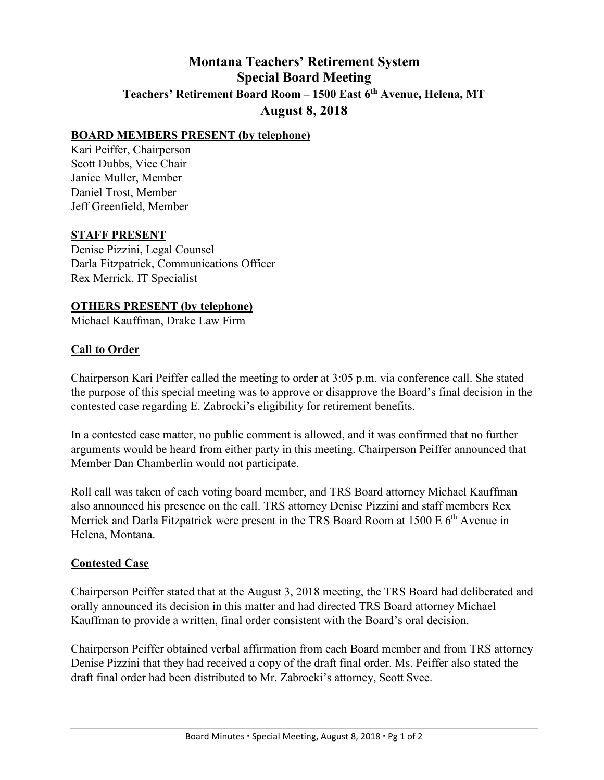# **Montana Teachers' Retirement System Special Board Meeting Teachers' Retirement Board Room – 1500 East 6th Avenue, Helena, MT August 8, 2018**

#### **BOARD MEMBERS PRESENT (by telephone)**

Kari Peiffer, Chairperson Scott Dubbs, Vice Chair Janice Muller, Member Daniel Trost, Member Jeff Greenfield, Member

### **STAFF PRESENT**

Denise Pizzini, Legal Counsel Darla Fitzpatrick, Communications Officer Rex Merrick, IT Specialist

### **OTHERS PRESENT (by telephone)**

Michael Kauffman, Drake Law Firm

## **Call to Order**

Chairperson Kari Peiffer called the meeting to order at 3:05 p.m. via conference call. She stated the purpose of this special meeting was to approve or disapprove the Board's final decision in the contested case regarding E. Zabrocki's eligibility for retirement benefits.

In a contested case matter, no public comment is allowed, and it was confirmed that no further arguments would be heard from either party in this meeting. Chairperson Peiffer announced that Member Dan Chamberlin would not participate.

Roll call was taken of each voting board member, and TRS Board attorney Michael Kauffman also announced his presence on the call. TRS attorney Denise Pizzini and staff members Rex Merrick and Darla Fitzpatrick were present in the TRS Board Room at  $1500 \text{ E } 6^{\text{th}}$  Avenue in Helena, Montana.

#### **Contested Case**

Chairperson Peiffer stated that at the August 3, 2018 meeting, the TRS Board had deliberated and orally announced its decision in this matter and had directed TRS Board attorney Michael Kauffman to provide a written, final order consistent with the Board's oral decision.

Chairperson Peiffer obtained verbal affirmation from each Board member and from TRS attorney Denise Pizzini that they had received a copy of the draft final order. Ms. Peiffer also stated the draft final order had been distributed to Mr. Zabrocki's attorney, Scott Svee.